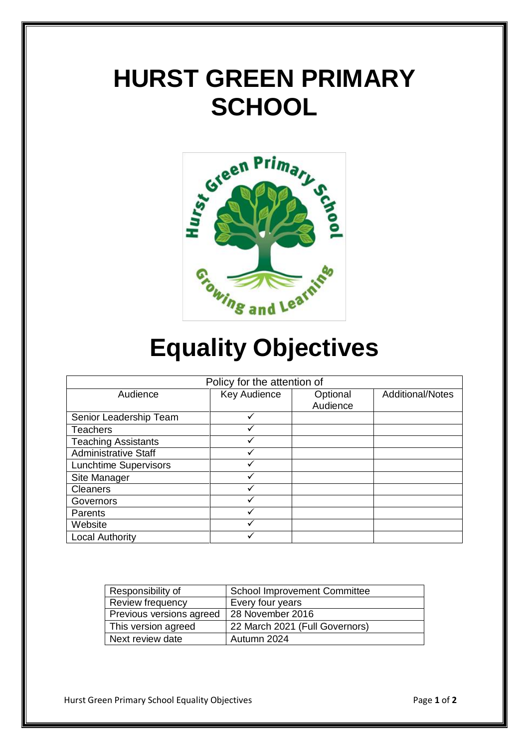# **HURST GREEN PRIMARY SCHOOL**



# **Equality Objectives**

| Policy for the attention of  |              |          |                         |
|------------------------------|--------------|----------|-------------------------|
| Audience                     | Key Audience | Optional | <b>Additional/Notes</b> |
|                              |              | Audience |                         |
| Senior Leadership Team       | √            |          |                         |
| <b>Teachers</b>              |              |          |                         |
| <b>Teaching Assistants</b>   |              |          |                         |
| <b>Administrative Staff</b>  | ✓            |          |                         |
| <b>Lunchtime Supervisors</b> |              |          |                         |
| Site Manager                 |              |          |                         |
| <b>Cleaners</b>              |              |          |                         |
| Governors                    |              |          |                         |
| Parents                      |              |          |                         |
| Website                      |              |          |                         |
| <b>Local Authority</b>       |              |          |                         |

| Responsibility of        | <b>School Improvement Committee</b> |
|--------------------------|-------------------------------------|
| Review frequency         | Every four years                    |
| Previous versions agreed | 28 November 2016                    |
| This version agreed      | 22 March 2021 (Full Governors)      |
| Next review date         | Autumn 2024                         |

Hurst Green Primary School Equality Objectives **Page 1** of 2